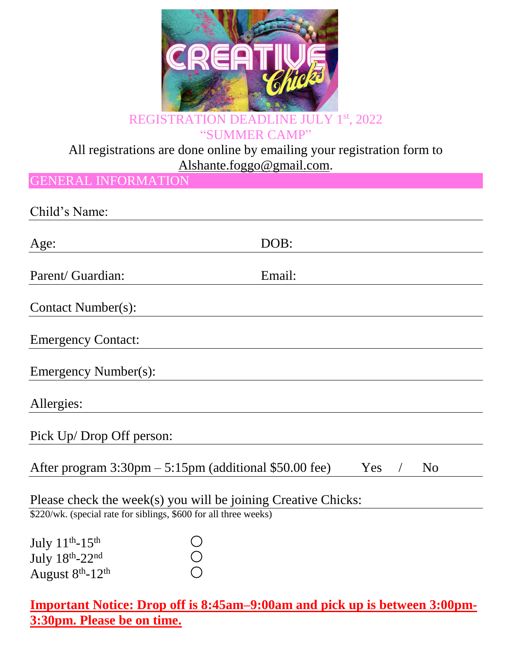

"SUMMER CAMP"

## All registrations are done online by emailing your registration form to [Alshante.foggo@gmail.com.](mailto:Alshante.foggo@gmail.com)

GENERAL INFORMATION

| Child's Name:                                                                                                                     |                       |
|-----------------------------------------------------------------------------------------------------------------------------------|-----------------------|
| Age:                                                                                                                              | DOB:                  |
| Parent/ Guardian:                                                                                                                 | Email:                |
| <b>Contact Number(s):</b>                                                                                                         |                       |
| <b>Emergency Contact:</b>                                                                                                         |                       |
| Emergency Number(s):                                                                                                              |                       |
| Allergies:                                                                                                                        |                       |
| Pick Up/Drop Off person:                                                                                                          |                       |
| After program $3:30 \text{pm} - 5:15 \text{pm}$ (additional \$50.00 fee)                                                          | Yes<br>N <sub>o</sub> |
| Please check the week(s) you will be joining Creative Chicks:<br>\$220/wk. (special rate for siblings, \$600 for all three weeks) |                       |
| July $11^{\text{th}}$ -15 <sup>th</sup><br>July 18th-22nd<br>August 8 <sup>th</sup> -12 <sup>th</sup>                             |                       |

## **Important Notice: Drop off is 8:45am–9:00am and pick up is between 3:00pm-3:30pm. Please be on time.**